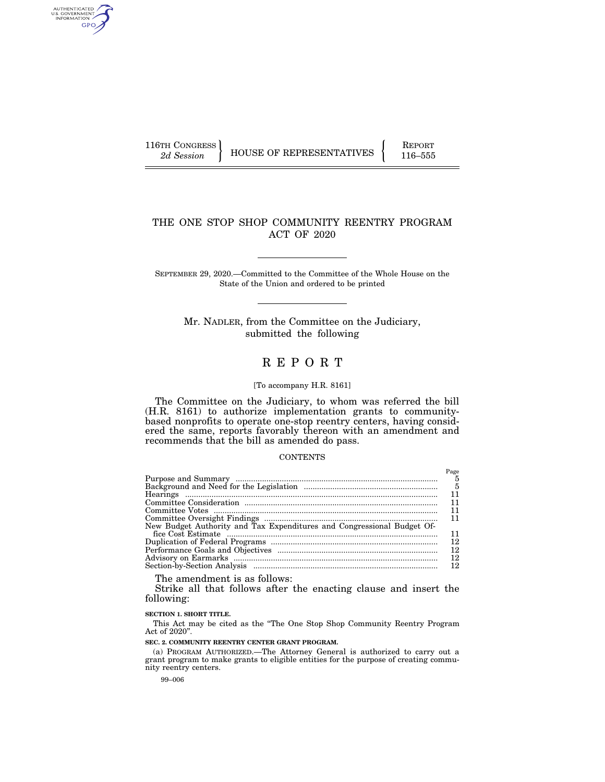AUTHENTICATED<br>U.S. GOVERNMENT<br>INFORMATION GPO

116TH CONGRESS HOUSE OF REPRESENTATIVES FEPORT 116–555

# THE ONE STOP SHOP COMMUNITY REENTRY PROGRAM ACT OF 2020

SEPTEMBER 29, 2020.—Committed to the Committee of the Whole House on the State of the Union and ordered to be printed

Mr. NADLER, from the Committee on the Judiciary, submitted the following

# R E P O R T

#### [To accompany H.R. 8161]

The Committee on the Judiciary, to whom was referred the bill (H.R. 8161) to authorize implementation grants to communitybased nonprofits to operate one-stop reentry centers, having considered the same, reports favorably thereon with an amendment and recommends that the bill as amended do pass.

### **CONTENTS**

|                                                                        | Page |
|------------------------------------------------------------------------|------|
|                                                                        | 5    |
|                                                                        | - 5  |
|                                                                        |      |
|                                                                        |      |
|                                                                        | 11   |
|                                                                        |      |
| New Budget Authority and Tax Expenditures and Congressional Budget Of- |      |
|                                                                        | 11   |
|                                                                        | 12   |
|                                                                        | 12   |
|                                                                        | 12   |
|                                                                        | 12   |

The amendment is as follows:

Strike all that follows after the enacting clause and insert the following:

### **SECTION 1. SHORT TITLE.**

This Act may be cited as the ''The One Stop Shop Community Reentry Program Act of 2020''.

**SEC. 2. COMMUNITY REENTRY CENTER GRANT PROGRAM.** 

(a) PROGRAM AUTHORIZED.—The Attorney General is authorized to carry out a grant program to make grants to eligible entities for the purpose of creating community reentry centers.

99–006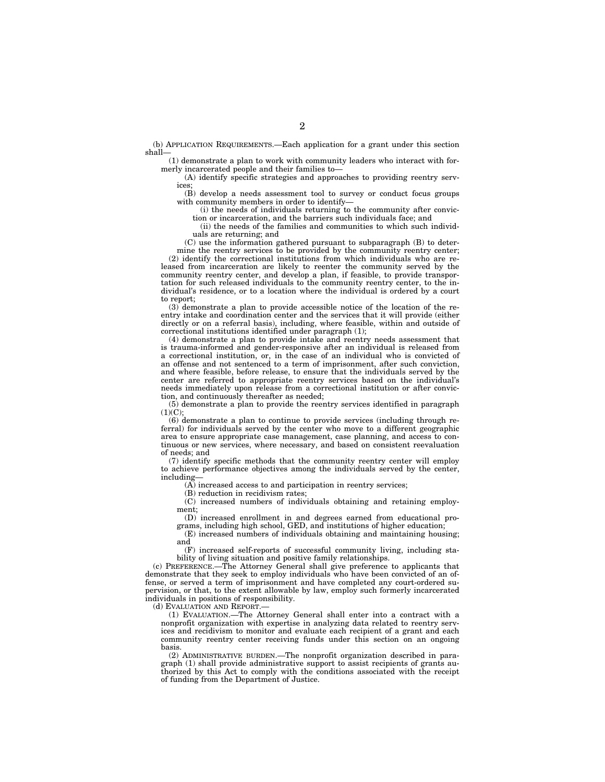(b) APPLICATION REQUIREMENTS.—Each application for a grant under this section shall—

(1) demonstrate a plan to work with community leaders who interact with formerly incarcerated people and their families to—

(A) identify specific strategies and approaches to providing reentry services;

(B) develop a needs assessment tool to survey or conduct focus groups with community members in order to identify—

(i) the needs of individuals returning to the community after conviction or incarceration, and the barriers such individuals face; and

(ii) the needs of the families and communities to which such individuals are returning; and

(C) use the information gathered pursuant to subparagraph (B) to determine the reentry services to be provided by the community reentry center; (2) identify the correctional institutions from which individuals who are released from incarceration are likely to reenter the community served by the community reentry center, and develop a plan, if feasible, to provide transportation for such released individuals to the community reentry center, to the individual's residence, or to a location where the individual is ordered by a court to report;

(3) demonstrate a plan to provide accessible notice of the location of the reentry intake and coordination center and the services that it will provide (either directly or on a referral basis), including, where feasible, within and outside of correctional institutions identified under paragraph (1);

(4) demonstrate a plan to provide intake and reentry needs assessment that is trauma-informed and gender-responsive after an individual is released from a correctional institution, or, in the case of an individual who is convicted of an offense and not sentenced to a term of imprisonment, after such conviction, and where feasible, before release, to ensure that the individuals served by the center are referred to appropriate reentry services based on the individual's needs immediately upon release from a correctional institution or after conviction, and continuously thereafter as needed;

(5) demonstrate a plan to provide the reentry services identified in paragraph  $(1)(C);$ 

(6) demonstrate a plan to continue to provide services (including through referral) for individuals served by the center who move to a different geographic area to ensure appropriate case management, case planning, and access to continuous or new services, where necessary, and based on consistent reevaluation of needs; and

(7) identify specific methods that the community reentry center will employ to achieve performance objectives among the individuals served by the center, including—

(A) increased access to and participation in reentry services;

(B) reduction in recidivism rates;

(C) increased numbers of individuals obtaining and retaining employment;

(D) increased enrollment in and degrees earned from educational programs, including high school, GED, and institutions of higher education;

(E) increased numbers of individuals obtaining and maintaining housing; and

(F) increased self-reports of successful community living, including stability of living situation and positive family relationships.

(c) PREFERENCE.—The Attorney General shall give preference to applicants that demonstrate that they seek to employ individuals who have been convicted of an offense, or served a term of imprisonment and have completed any court-ordered supervision, or that, to the extent allowable by law, employ such formerly incarcerated individuals in positions of responsibility.

(d) EVALUATION AND REPORT.

(1) EVALUATION.—The Attorney General shall enter into a contract with a nonprofit organization with expertise in analyzing data related to reentry services and recidivism to monitor and evaluate each recipient of a grant and each community reentry center receiving funds under this section on an ongoing basis.

(2) ADMINISTRATIVE BURDEN.—The nonprofit organization described in paragraph (1) shall provide administrative support to assist recipients of grants authorized by this Act to comply with the conditions associated with the receipt of funding from the Department of Justice.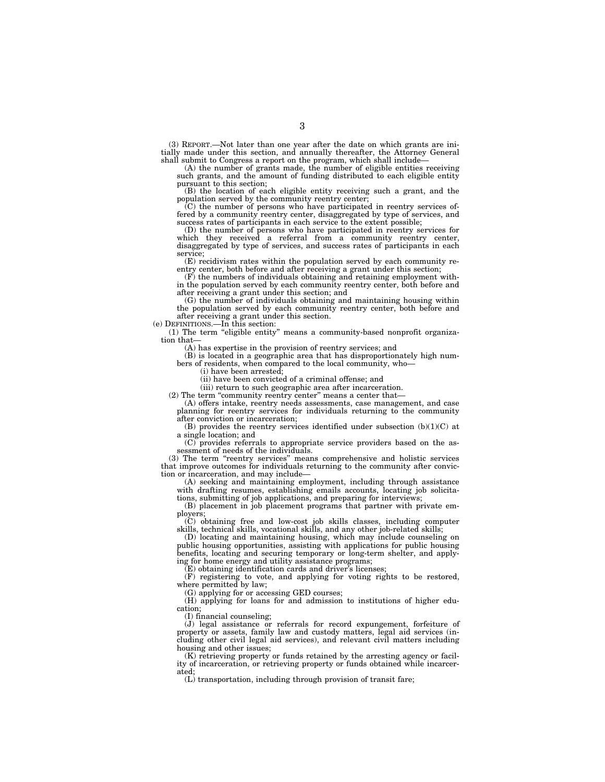(3) REPORT.—Not later than one year after the date on which grants are initially made under this section, and annually thereafter, the Attorney General shall submit to Congress a report on the program, which shall include—

(A) the number of grants made, the number of eligible entities receiving such grants, and the amount of funding distributed to each eligible entity pursuant to this section;

(B) the location of each eligible entity receiving such a grant, and the population served by the community reentry center;

(C) the number of persons who have participated in reentry services offered by a community reentry center, disaggregated by type of services, and success rates of participants in each service to the extent possible;

(D) the number of persons who have participated in reentry services for which they received a referral from a community reentry center, disaggregated by type of services, and success rates of participants in each service;

(E) recidivism rates within the population served by each community re-entry center, both before and after receiving a grant under this section;

(F) the numbers of individuals obtaining and retaining employment within the population served by each community reentry center, both before and

after receiving a grant under this section; and (G) the number of individuals obtaining and maintaining housing within the population served by each community reentry center, both before and after receiving a grant under this section.

(e) DEFINITIONS.—In this section:

(1) The term ''eligible entity'' means a community-based nonprofit organization that-

(A) has expertise in the provision of reentry services; and

(B) is located in a geographic area that has disproportionately high numbers of residents, when compared to the local community, who—

(i) have been arrested;

(ii) have been convicted of a criminal offense; and

(iii) return to such geographic area after incarceration.

(2) The term "community reentry center" means a center that-

(A) offers intake, reentry needs assessments, case management, and case planning for reentry services for individuals returning to the community after conviction or incarceration;

(B) provides the reentry services identified under subsection  $(b)(1)(C)$  at a single location; and

(C) provides referrals to appropriate service providers based on the assessment of needs of the individuals.

(3) The term ''reentry services'' means comprehensive and holistic services that improve outcomes for individuals returning to the community after conviction or incarceration, and may include—

(A) seeking and maintaining employment, including through assistance with drafting resumes, establishing emails accounts, locating job solicitations, submitting of job applications, and preparing for interviews;

(B) placement in job placement programs that partner with private employers;

(C) obtaining free and low-cost job skills classes, including computer skills, technical skills, vocational skills, and any other job-related skills;

(D) locating and maintaining housing, which may include counseling on public housing opportunities, assisting with applications for public housing benefits, locating and securing temporary or long-term shelter, and applying for home energy and utility assistance programs;

(E) obtaining identification cards and driver's licenses;

(F) registering to vote, and applying for voting rights to be restored, where permitted by law;

(G) applying for or accessing GED courses;

(H) applying for loans for and admission to institutions of higher education;

(I) financial counseling;

(J) legal assistance or referrals for record expungement, forfeiture of property or assets, family law and custody matters, legal aid services (including other civil legal aid services), and relevant civil matters including housing and other issues;

(K) retrieving property or funds retained by the arresting agency or facility of incarceration, or retrieving property or funds obtained while incarcerated;

(L) transportation, including through provision of transit fare;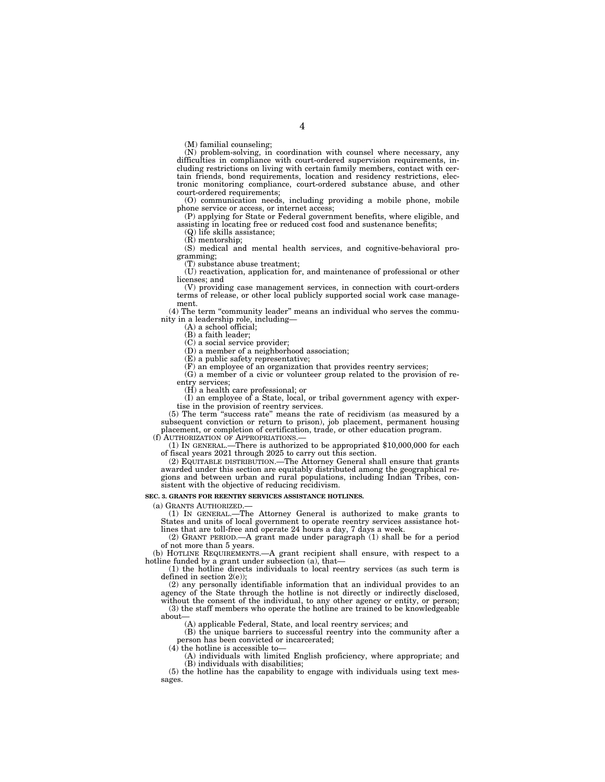(M) familial counseling;

(N) problem-solving, in coordination with counsel where necessary, any difficulties in compliance with court-ordered supervision requirements, including restrictions on living with certain family members, contact with certain friends, bond requirements, location and residency restrictions, electronic monitoring compliance, court-ordered substance abuse, and other court-ordered requirements;

(O) communication needs, including providing a mobile phone, mobile phone service or access, or internet access;

(P) applying for State or Federal government benefits, where eligible, and assisting in locating free or reduced cost food and sustenance benefits;

(Q) life skills assistance;

(R) mentorship;

(S) medical and mental health services, and cognitive-behavioral programming;

(T) substance abuse treatment;

(U) reactivation, application for, and maintenance of professional or other licenses; and

(V) providing case management services, in connection with court-orders terms of release, or other local publicly supported social work case management.

(4) The term ''community leader'' means an individual who serves the community in a leadership role, including—

(A) a school official;

(B) a faith leader;

(C) a social service provider;

(D) a member of a neighborhood association;

(E) a public safety representative;

(F) an employee of an organization that provides reentry services;

(G) a member of a civic or volunteer group related to the provision of reentry services;

(H) a health care professional; or

(I) an employee of a State, local, or tribal government agency with expertise in the provision of reentry services.

(5) The term ''success rate'' means the rate of recidivism (as measured by a subsequent conviction or return to prison), job placement, permanent housing placement, or completion of certification, trade, or other education program.

(f) AUTHORIZATION OF APPROPRIATIONS.— (1) IN GENERAL.—There is authorized to be appropriated \$10,000,000 for each of fiscal years 2021 through 2025 to carry out this section.

(2) EQUITABLE DISTRIBUTION.—The Attorney General shall ensure that grants awarded under this section are equitably distributed among the geographical regions and between urban and rural populations, including Indian Tribes, consistent with the objective of reducing recidivism.

#### **SEC. 3. GRANTS FOR REENTRY SERVICES ASSISTANCE HOTLINES.**

(a) GRANTS AUTHORIZED.—

(1) IN GENERAL.—The Attorney General is authorized to make grants to States and units of local government to operate reentry services assistance hotlines that are toll-free and operate 24 hours a day, 7 days a week.

(2) GRANT PERIOD.—A grant made under paragraph (1) shall be for a period of not more than 5 years.

(b) HOTLINE REQUIREMENTS.—A grant recipient shall ensure, with respect to a hotline funded by a grant under subsection (a), that-

(1) the hotline directs individuals to local reentry services (as such term is defined in section  $2(e)$ ;

(2) any personally identifiable information that an individual provides to an agency of the State through the hotline is not directly or indirectly disclosed, without the consent of the individual, to any other agency or entity, or person; (3) the staff members who operate the hotline are trained to be knowledgeable

about—

(A) applicable Federal, State, and local reentry services; and

(B) the unique barriers to successful reentry into the community after a person has been convicted or incarcerated;

 $(4)$  the hotline is accessible to-

(A) individuals with limited English proficiency, where appropriate; and (B) individuals with disabilities;

(5) the hotline has the capability to engage with individuals using text messages.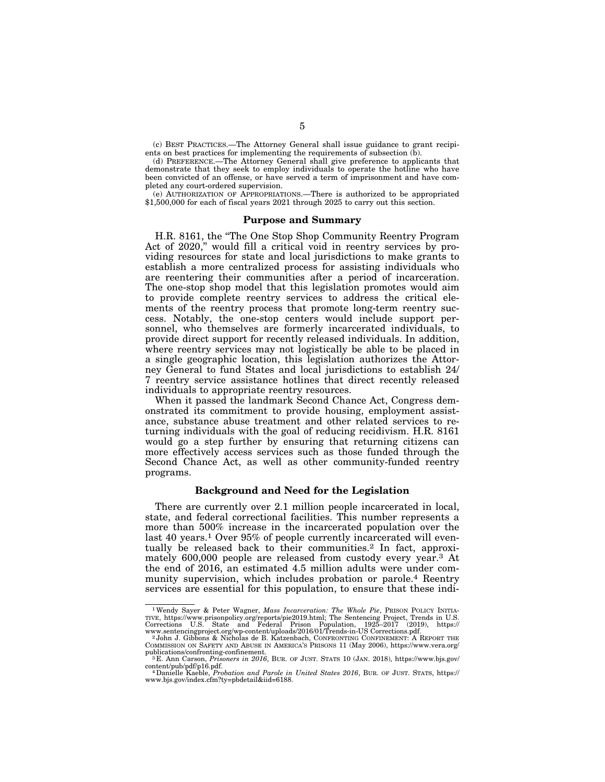(c) BEST PRACTICES.—The Attorney General shall issue guidance to grant recipients on best practices for implementing the requirements of subsection (b).

(d) PREFERENCE.—The Attorney General shall give preference to applicants that demonstrate that they seek to employ individuals to operate the hotline who have been convicted of an offense, or have served a term of imprisonment and have completed any court-ordered supervision.

(e) AUTHORIZATION OF APPROPRIATIONS.—There is authorized to be appropriated \$1,500,000 for each of fiscal years 2021 through 2025 to carry out this section.

#### **Purpose and Summary**

H.R. 8161, the ''The One Stop Shop Community Reentry Program Act of 2020,'' would fill a critical void in reentry services by providing resources for state and local jurisdictions to make grants to establish a more centralized process for assisting individuals who are reentering their communities after a period of incarceration. The one-stop shop model that this legislation promotes would aim to provide complete reentry services to address the critical elements of the reentry process that promote long-term reentry success. Notably, the one-stop centers would include support personnel, who themselves are formerly incarcerated individuals, to provide direct support for recently released individuals. In addition, where reentry services may not logistically be able to be placed in a single geographic location, this legislation authorizes the Attorney General to fund States and local jurisdictions to establish 24/ 7 reentry service assistance hotlines that direct recently released individuals to appropriate reentry resources.

When it passed the landmark Second Chance Act, Congress demonstrated its commitment to provide housing, employment assistance, substance abuse treatment and other related services to returning individuals with the goal of reducing recidivism. H.R. 8161 would go a step further by ensuring that returning citizens can more effectively access services such as those funded through the Second Chance Act, as well as other community-funded reentry programs.

#### **Background and Need for the Legislation**

There are currently over 2.1 million people incarcerated in local, state, and federal correctional facilities. This number represents a more than 500% increase in the incarcerated population over the last 40 years.<sup>1</sup> Over 95% of people currently incarcerated will eventually be released back to their communities.<sup>2</sup> In fact, approximately 600,000 people are released from custody every year.3 At the end of 2016, an estimated 4.5 million adults were under community supervision, which includes probation or parole.4 Reentry services are essential for this population, to ensure that these indi-

<sup>&</sup>lt;sup>1</sup>Wendy Sayer & Peter Wagner, *Mass Incarceration: The Whole Pie*, PRISON POLICY INITIA-<br>TIVE, https://www.prisonpolicy.org/reports/pie2019.html; The Sentencing Project, Trends in U.S.<br>Corrections U.S. State and Federal

COMMISSION ON SAFETY AND ABUSE IN AMERICA'S PRISONS 11 (May 2006), https://www.vera.org/

<sup>&</sup>lt;sup>3</sup> B. Ann Carson, *Prisoners in 2016*, BUR. OF JUST. STATS 10 (JAN. 2018), https://www.bjs.gov/<br>content/pub/pdf/p16.pdf.

Danielle Kaeble, *Probation and Parole in United States 2016*, BUR. OF JUST. STATS, https:// www.bjs.gov/index.cfm?ty=pbdetail&iid=6188.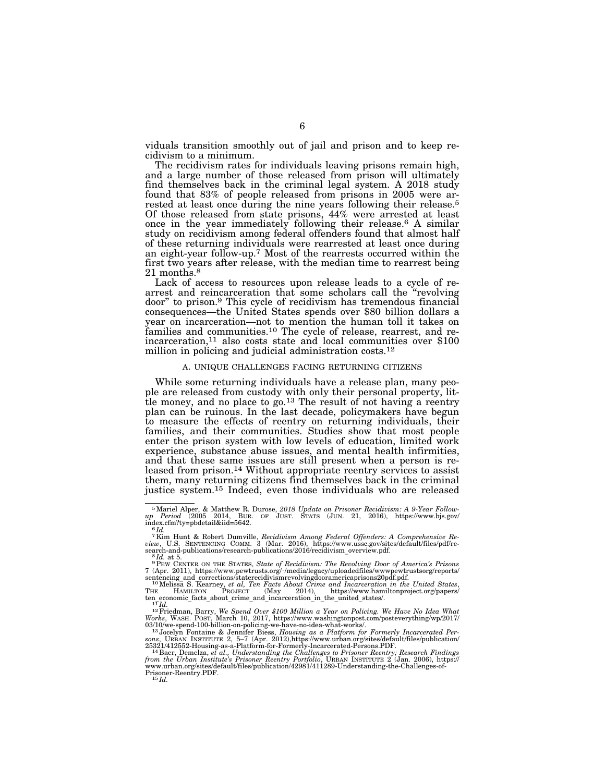viduals transition smoothly out of jail and prison and to keep recidivism to a minimum.

The recidivism rates for individuals leaving prisons remain high, and a large number of those released from prison will ultimately find themselves back in the criminal legal system. A 2018 study found that 83% of people released from prisons in 2005 were arrested at least once during the nine years following their release.<sup>5</sup> Of those released from state prisons, 44% were arrested at least once in the year immediately following their release.6 A similar study on recidivism among federal offenders found that almost half of these returning individuals were rearrested at least once during an eight-year follow-up.7 Most of the rearrests occurred within the first two years after release, with the median time to rearrest being 21 months.8

Lack of access to resources upon release leads to a cycle of rearrest and reincarceration that some scholars call the "revolving" door'' to prison.9 This cycle of recidivism has tremendous financial consequences—the United States spends over \$80 billion dollars a year on incarceration—not to mention the human toll it takes on families and communities.10 The cycle of release, rearrest, and reincarceration,11 also costs state and local communities over \$100 million in policing and judicial administration costs.<sup>12</sup>

#### A. UNIQUE CHALLENGES FACING RETURNING CITIZENS

While some returning individuals have a release plan, many people are released from custody with only their personal property, little money, and no place to go.<sup>13</sup> The result of not having a reentry plan can be ruinous. In the last decade, policymakers have begun to measure the effects of reentry on returning individuals, their families, and their communities. Studies show that most people enter the prison system with low levels of education, limited work experience, substance abuse issues, and mental health infirmities, and that these same issues are still present when a person is released from prison.14 Without appropriate reentry services to assist them, many returning citizens find themselves back in the criminal justice system.15 Indeed, even those individuals who are released

<sup>&</sup>lt;sup>5</sup> Mariel Alper, & Matthew R. Durose, 2018 Update on Prisoner Recidivism: A 9-Year Follow-<br>
up Period (2005 2014, BUR. OF JUST. STATS (JUN. 21, 2016), https://www.bjs.gov/<br>
index.cfm?ty=pbdetail&iid=5642.<br>
6 Id.

<sup>7</sup>Kim Hunt & Robert Dumville, *Recidivism Among Federal Offenders: A Comprehensive Re-view*, U.S. SENTENCING COMM. 3 (Mar. 2016), https://www.ussc.gov/sites/default/files/pdf/re-

 $\begin{array}{ll} \text{search-and-publications/research-publications/2016/recidivism\_overview.pdf.}\\ \text{ $^9$Hd. at 5.}\\ \text{ $^9$Heu CENTER ON THE STATES, State of Recidivism: The Revolving Door of America's Prisons}\\ 7 (Apr. 2011), \text{https://www.pewtrusts.org/~/media/legacy/uploadedfiles/www.pewtrustsorg/reports/} \\ \text{sentencing and corrections/staterecidivismrevolvingdooramericaprisons20pdf.pdf.}\\ \text{ $^{10}$Melissa S. Kearney, et al. Ten Facts Abound Crime and Incareration in the United States,\\ $^1$He. HAMLTON PROJECT (May 2014), \text{ https$ 

ten economic\_facts\_about\_crime\_and\_incarceration\_in\_the\_united\_states/.<br>  $^{11}T_{ld}$ .<br>  $^{12}F$ iredman, Barry, We Spend Over \$100 Million a Year on Policing. We Have No Idea What<br>
Works, WASH. POST, March 10, 2017, https://

 $\begin{array}{l} 25321/412552\text{-Housing-as-a-Platform-for-Formerly-Incarerated-Persons.PDF. \\ 14\,\text{Bae}, \text{Demelza}, \textit{et al.}, \textit{Understanding the Challages to Prisoner Reentry; Cense, \textit{H.}, \textit{H.}, \textit{H.}, \textit{H.}, \textit{H.}, \textit{H.}, \textit{H.}, \textit{H.}, \textit{H.}, \textit{H.}, \textit{H.}, \textit{H.}, \textit{H.}, \textit{H.}, \textit{H.}, \textit{H.}, \textit{H.}, \textit{H$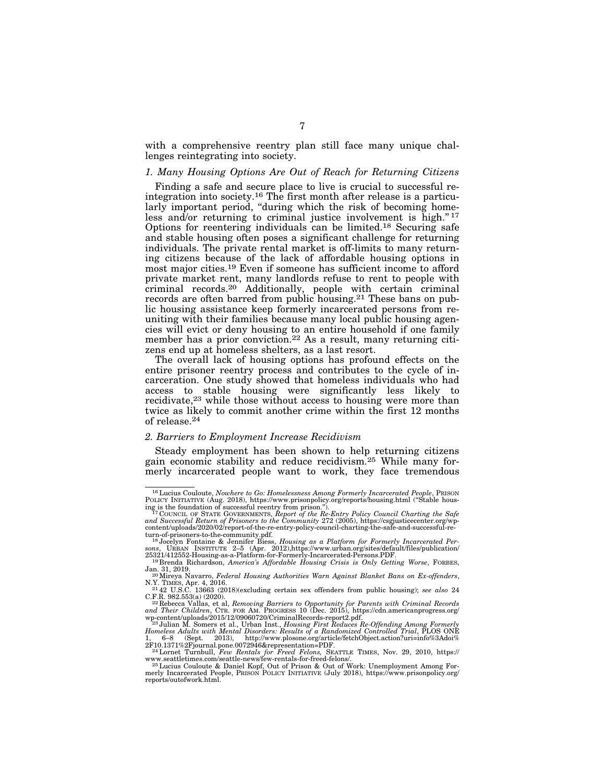with a comprehensive reentry plan still face many unique challenges reintegrating into society.

### *1. Many Housing Options Are Out of Reach for Returning Citizens*

Finding a safe and secure place to live is crucial to successful reintegration into society.16 The first month after release is a particularly important period, "during which the risk of becoming homeless and/or returning to criminal justice involvement is high."<sup>17</sup> Options for reentering individuals can be limited.18 Securing safe and stable housing often poses a significant challenge for returning individuals. The private rental market is off-limits to many returning citizens because of the lack of affordable housing options in most major cities.19 Even if someone has sufficient income to afford private market rent, many landlords refuse to rent to people with criminal records.<sup>20</sup> Additionally, people with certain criminal records are often barred from public housing.<sup>21</sup> These bans on public housing assistance keep formerly incarcerated persons from reuniting with their families because many local public housing agencies will evict or deny housing to an entire household if one family member has a prior conviction.22 As a result, many returning citizens end up at homeless shelters, as a last resort.

The overall lack of housing options has profound effects on the entire prisoner reentry process and contributes to the cycle of incarceration. One study showed that homeless individuals who had access to stable housing were significantly less likely to recidivate,<sup>23</sup> while those without access to housing were more than twice as likely to commit another crime within the first 12 months of release.24

#### *2. Barriers to Employment Increase Recidivism*

Steady employment has been shown to help returning citizens gain economic stability and reduce recidivism.25 While many formerly incarcerated people want to work, they face tremendous

<sup>16</sup>Lucius Couloute, *Nowhere to Go: Homelessness Among Formerly Incarcerated People*, PRISON POLICY INITIATIVE (Aug. 2018), https://www.prisonpolicy.org/reports/housing.html ("Stable housing") is the foundation of successful reentry from prison.").<br>"I TOOUNCIL OF STATE GOVERNMENTS, Report of the Re-Entry Policy C

*and Successful Return of Prisoners to the Community* 272 (2005), https://csgjusticecenter.org/wpcontent/uploads/2020/02/report-of-the-re-entry-policy-council-charting-the-safe-and-successful-re-

turn-of-prisoners-to-the-community.pdf.<br><sup>18</sup>Jocelyn Fontaine & Jennifer Biess, *Housing as a Platform for Formerly Incarcerated Per-*<br><sup>5018</sup>, URBAN INSTITUTE 2–5 (Apr. 2012),https://www.urban.org/sites/default/files/public

<sup>&</sup>lt;sup>19</sup> Brenda Richardson, *America's Affordable Housing Crisis is Only Getting Worse*, FORBES, Jan. 31, 2019.<br><sup>20</sup> Mireya Navarro, *Federal Housing Authorities Warn Against Blanket Bans on Ex-offenders*, N.Y. TIMES, Apr. 4,

C.F.R. 982.553(a) (2020).<br><sup>22</sup> Rebecca Vallas, et al, *Removing Barriers to Opportunity for Parents with Criminal Records<br>and Their Children, CTR. FOR AM. PROGRESS 10 (Dec. 2015), https://cdn.americanprogress.org/<br>wp-cont* 

<sup>1, 6–8 (</sup>Sept. 2013), http://www.plosone.org/article/fetchObject.action?uri=info%3Adoi%<br>2F10.1371%2Fjournal.pone.0072946&representation=PDF.<br><sup>24</sup>Lornet Turnbull, *Few Rentals for Freed Felons*, SEATTLE TIMES, Nov. 29, 2010,

www.seattletimes.com/seattle-news/few-rentals-for-freed-felons/.<br><sup>25</sup> Lucius Couloute & Daniel Kopf, Out of Prison & Out of Work: Unemployment Among For-<br>25 merly Incarcerated People, PRISON POLICY INITIATIVE (July 2018), reports/outofwork.html.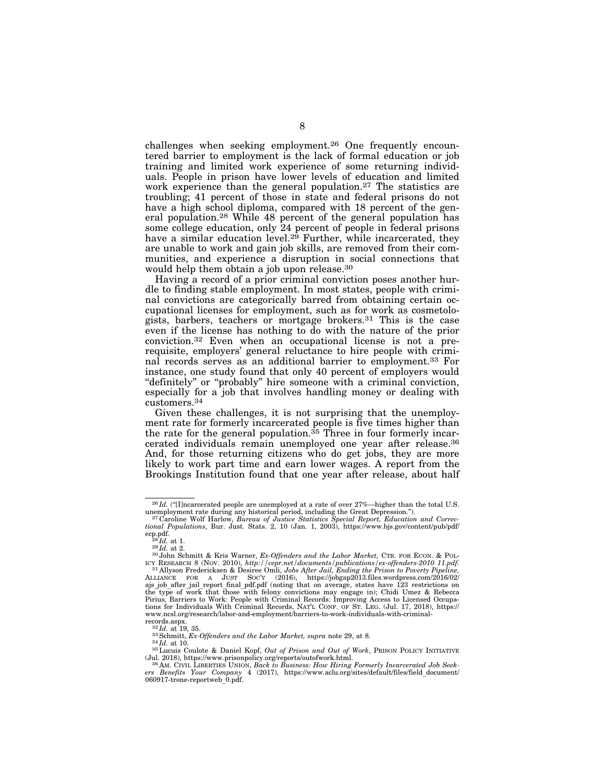challenges when seeking employment.26 One frequently encountered barrier to employment is the lack of formal education or job training and limited work experience of some returning individuals. People in prison have lower levels of education and limited work experience than the general population.<sup>27</sup> The statistics are troubling; 41 percent of those in state and federal prisons do not have a high school diploma, compared with 18 percent of the general population.<sup>28</sup> While  $48$  percent of the general population has some college education, only 24 percent of people in federal prisons have a similar education level.<sup>29</sup> Further, while incarcerated, they are unable to work and gain job skills, are removed from their communities, and experience a disruption in social connections that would help them obtain a job upon release.30

Having a record of a prior criminal conviction poses another hurdle to finding stable employment. In most states, people with criminal convictions are categorically barred from obtaining certain occupational licenses for employment, such as for work as cosmetologists, barbers, teachers or mortgage brokers.31 This is the case even if the license has nothing to do with the nature of the prior conviction.32 Even when an occupational license is not a prerequisite, employers' general reluctance to hire people with criminal records serves as an additional barrier to employment.33 For instance, one study found that only 40 percent of employers would "definitely" or "probably" hire someone with a criminal conviction, especially for a job that involves handling money or dealing with customers.34

Given these challenges, it is not surprising that the unemployment rate for formerly incarcerated people is five times higher than the rate for the general population.<sup>35</sup> Three in four formerly incarcerated individuals remain unemployed one year after release.36 And, for those returning citizens who do get jobs, they are more likely to work part time and earn lower wages. A report from the Brookings Institution found that one year after release, about half

<sup>&</sup>lt;sup>26</sup> *Id.* ("[I]ncarcerated people are unemployed at a rate of over 27%—higher than the total U.S. unemployment rate during any historical period, including the Great Depression.''). 27 Caroline Wolf Harlow, *Bureau of Justice Statistics Special Report, Education and Correc-*

*tional Populations*, Bur. Just. Stats. 2, 10 (Jan. 1, 2003), https://www.bjs.gov/content/pub/pdf/ ecp.pdf.  $^{28}Id$ . at 1.

ecp. 28 *Id.* at 2.<br><sup>29</sup> *Id.* at 2.<br><sup>30</sup> John Schmitt & Kris Warner, *Ex-Offenders and the Labor Market*, CTR. FOR ECON. & POL-<br>1. ICY RESEARCH 8 (NOV. 2010), *http://cepr.net/documents/publications/ex-offenders-2010 11.p* <sup>31</sup> Allyson Fredericksen & Desiree Omli, *Jobs After Jail, Ending the Prison to Poverty Pipeline*, ALLIANCE FOR A JUST SOC'Y (2016), https://jobgap2013.files.wordpress.com/2016/02/<br>ajs\_job\_after\_jail\_report\_final\_pdf.pdf (noting that on average, states have 123 restrictions on<br>the\_type\_of\_work\_that\_those\_with\_felony\_con Pirius, Barriers to Work: People with Criminal Records: Improving Access to Licensed Occupations for Individuals With Criminal Records, NAT'L CONF. OF ST. LEG. (Jul. 17, 2018), https:// www.ncsl.org/research/labor-and-employment/barriers-to-work-individuals-with-criminal-

records.aspx.<br><sup>32</sup>*Id.* at 19, 35.<br><sup>33</sup> Schmitt, *Ex-Offenders and the Labor Market, supra* note 29, at 8.<br><sup>34</sup>*Id.* at 10.<br><sup>34</sup>*Id.* at 10.<br><sup>35</sup> Lucuis Coulote & Daniel Kopf, *Out of Prison and Out of Work*, PRISON POLIC (Jul. 2018), https://www.prisonpolicy.org/reports/outofwork.html. 36 AM. CIVIL LIBERTIES UNION, *Back to Business: How Hiring Formerly Incarcerated Job Seek-*

*ers Benefits Your Company* 4 (2017), https://www.aclu.org/sites/default/files/field\_document/ 060917-trone-reportweb\_0.pdf.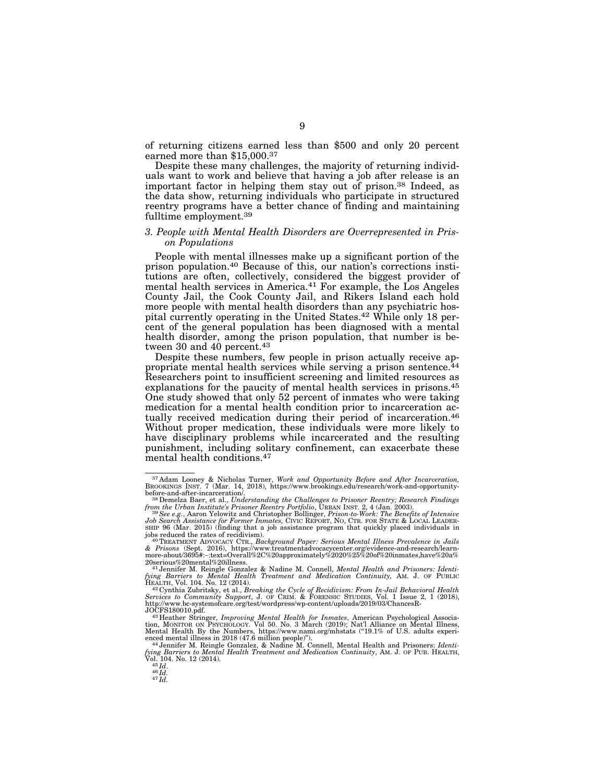of returning citizens earned less than \$500 and only 20 percent earned more than \$15,000.37

Despite these many challenges, the majority of returning individuals want to work and believe that having a job after release is an important factor in helping them stay out of prison.38 Indeed, as the data show, returning individuals who participate in structured reentry programs have a better chance of finding and maintaining fulltime employment.39

### *3. People with Mental Health Disorders are Overrepresented in Prison Populations*

People with mental illnesses make up a significant portion of the prison population.40 Because of this, our nation's corrections institutions are often, collectively, considered the biggest provider of mental health services in America.41 For example, the Los Angeles County Jail, the Cook County Jail, and Rikers Island each hold more people with mental health disorders than any psychiatric hospital currently operating in the United States.42 While only 18 percent of the general population has been diagnosed with a mental health disorder, among the prison population, that number is between 30 and 40 percent.<sup>43</sup>

Despite these numbers, few people in prison actually receive appropriate mental health services while serving a prison sentence.44 Researchers point to insufficient screening and limited resources as explanations for the paucity of mental health services in prisons.<sup>45</sup> One study showed that only 52 percent of inmates who were taking medication for a mental health condition prior to incarceration actually received medication during their period of incarceration.<sup>46</sup> Without proper medication, these individuals were more likely to have disciplinary problems while incarcerated and the resulting punishment, including solitary confinement, can exacerbate these mental health conditions.47

<sup>&</sup>lt;sup>37</sup> Adam Looney & Nicholas Turner, *Work and Opportunity Before and After Incarceration*, **BROOKINGS INST.** 7 (Mar. 14, 2018), https://www.brookings.edu/research/work-and-opportunity-

before-and-after-incarceration/. 38Demelza Baer, et al., *Understanding the Challenges to Prisoner Reentry; Research Findings from the Urban Institute's Prisoner Reentry Portfolio*, URBAN INST. 2, 4 (Jan. 2003). 39*See e.g.*, Aaron Yelowitz and Christopher Bollinger, *Prison-to-Work: The Benefits of Intensive* 

*Job Search Assistance for Former Inmates,* CIVIC REPORT, NO, CTR. FOR STATE & LOCAL LEADER-SHIP 96 (Mar. 2015) (finding that a job assistance program that quickly placed individuals in

jobs reduced the rates of recidivism).<br><sup>40</sup> TreArMeNT ADVOCACY CTR., *Background Paper: Serious Mental Illness Prevalence in Jails<br>& Prisons (Sept. 2016), https://www.treatmentadvocacycenter.org/evidence-and-research/learn* 

<sup>20</sup>serious%20mental%20illness. 41 Jennifer M. Reingle Gonzalez & Nadine M. Connell, *Mental Health and Prisoners: Identi-fying Barriers to Mental Health Treatment and Medication Continuity,* AM. J. OF PUBLIC

HEALTH, Vol. 104. No. 12 (2014).<br><sup>42</sup>Cynthia Zubritsky, et al., *Breaking the Cycle of Recidivism: From In-Jail Behavioral Health*<br>Services to Community Support, J. OF CRIM. & FORENSIC STUDIES, Vol. 1 Issue 2, 1 (2018), http://www.bc-systemofcare.org/test/wordpress/wp-content/uploads/2019/03/ChancesR-

JOCFS180010.pdf.<br><sup>43</sup> Heather Stringer, *Improving Mental Health for Inmates*, American Psychological Association, MoNITOR ON PSYCHOLOGY. Vol 50. No. 3 March (2019); Nat'l Alliance on Mental Illness,<br>Mental Health By the N enced mental illness in 2018 (47.6 million people)''). 44 Jennifer M. Reingle Gonzalez, & Nadine M. Connell, Mental Health and Prisoners: *Identi-*

*fying Barriers to Mental Health Treatment and Medication Continuity*, AM. J. OF PUB. HEALTH, Vol. 104. No. 12 (2014).<br>Vol. 104. No. 12 (2014).<br><sup>45</sup>*Id.* 47 *Id.* 46 *Id.* 47 *Id.*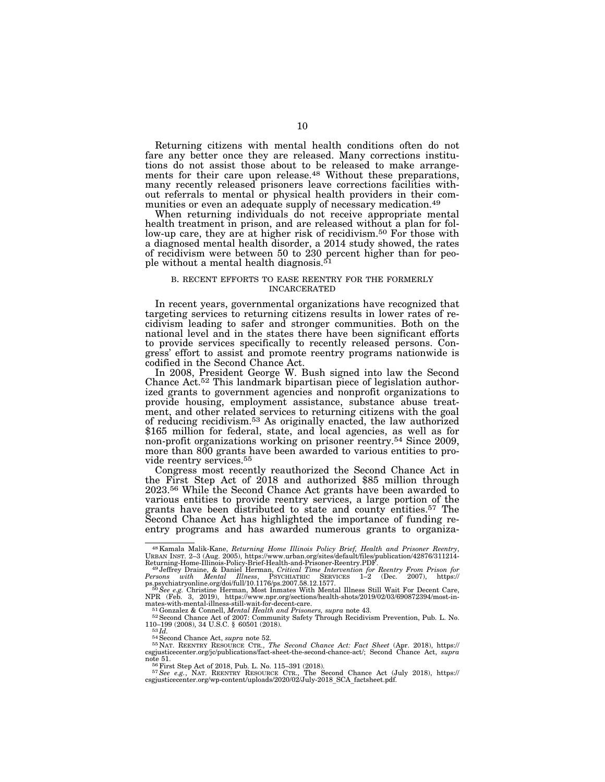Returning citizens with mental health conditions often do not fare any better once they are released. Many corrections institutions do not assist those about to be released to make arrangements for their care upon release.48 Without these preparations, many recently released prisoners leave corrections facilities without referrals to mental or physical health providers in their communities or even an adequate supply of necessary medication.49

When returning individuals do not receive appropriate mental health treatment in prison, and are released without a plan for follow-up care, they are at higher risk of recidivism.<sup>50</sup> For those with a diagnosed mental health disorder, a 2014 study showed, the rates of recidivism were between 50 to 230 percent higher than for people without a mental health diagnosis.51

#### B. RECENT EFFORTS TO EASE REENTRY FOR THE FORMERLY INCARCERATED

In recent years, governmental organizations have recognized that targeting services to returning citizens results in lower rates of recidivism leading to safer and stronger communities. Both on the national level and in the states there have been significant efforts to provide services specifically to recently released persons. Congress' effort to assist and promote reentry programs nationwide is codified in the Second Chance Act.

In 2008, President George W. Bush signed into law the Second Chance Act.52 This landmark bipartisan piece of legislation authorized grants to government agencies and nonprofit organizations to provide housing, employment assistance, substance abuse treatment, and other related services to returning citizens with the goal of reducing recidivism.53 As originally enacted, the law authorized \$165 million for federal, state, and local agencies, as well as for non-profit organizations working on prisoner reentry.54 Since 2009, more than 800 grants have been awarded to various entities to pro-

vide reentry services.<sup>55</sup><br>Congress most recently reauthorized the Second Chance Act in the First Step Act of  $2018$  and authorized \$85 million through 2023.56 While the Second Chance Act grants have been awarded to various entities to provide reentry services, a large portion of the grants have been distributed to state and county entities.57 The Second Chance Act has highlighted the importance of funding reentry programs and has awarded numerous grants to organiza-

<sup>48</sup>Kamala Malik-Kane, *Returning Home Illinois Policy Brief, Health and Prisoner Reentry*, URBAN INST. 2–3 (Aug. 2005), https://www.urban.org/sites/default/files/publication/42876/311214-

Returning-Home-Illinois-Policy-Brief-Health-and-Prisoner-Reentry.PDF.<br>
<sup>49</sup>Jeffrey Draine, & Daniel Herman, Critical Time Intervention for Reentry From Prison for<br>
Persons with Mental Illness, Psychiarxnc Sexvices 1-2 (Dec

mates-with-mental-illness-still-wait-for-decent-care.<br>
<sup>51</sup>Gonzalez & Connell, *Mental Health and Prisoners, supra* note 43.<br>
<sup>52</sup> Second Chance Act of 2007: Community Safety Through Recidivism Prevention, Pub. L. No.<br>  $10$ 

<sup>110–199 (2008), 34</sup> U.S.C. § 60501 (2018).<br><sup>53</sup>*Id.*<br><sup>54</sup>Second Chance Act, *supra* note 52.<br><sup>54</sup>NAT. REENTRY RESOURCE CTR., *The Second Chance Act: Fact Sheet* (Apr. 2018), https://<br><sup>55</sup>NAT. REENTRY RESOURCE CTR., *The Se* 

note 51.<br><sup>56</sup> First Step Act of 2018, Pub. L. No. 115–391 (2018).<br><sup>57</sup> See e.g., NAT. REENTRY RESOURCE CTR., The Second Chance Act (July 2018), https://<br>csgjusticecenter.org/wp-content/uploads/2020/02/July-2018\_SCA\_factshe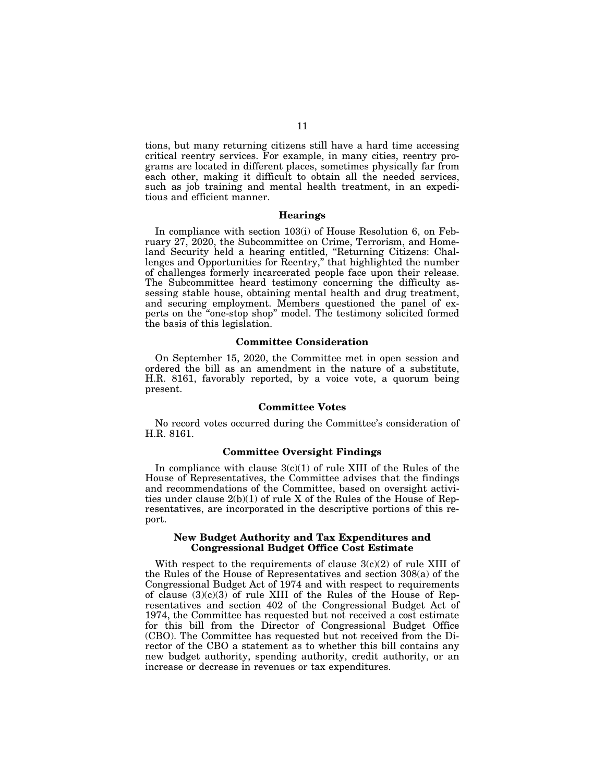tions, but many returning citizens still have a hard time accessing critical reentry services. For example, in many cities, reentry programs are located in different places, sometimes physically far from each other, making it difficult to obtain all the needed services, such as job training and mental health treatment, in an expeditious and efficient manner.

#### **Hearings**

In compliance with section 103(i) of House Resolution 6, on February 27, 2020, the Subcommittee on Crime, Terrorism, and Homeland Security held a hearing entitled, ''Returning Citizens: Challenges and Opportunities for Reentry,'' that highlighted the number of challenges formerly incarcerated people face upon their release. The Subcommittee heard testimony concerning the difficulty assessing stable house, obtaining mental health and drug treatment, and securing employment. Members questioned the panel of experts on the "one-stop shop" model. The testimony solicited formed the basis of this legislation.

## **Committee Consideration**

On September 15, 2020, the Committee met in open session and ordered the bill as an amendment in the nature of a substitute, H.R. 8161, favorably reported, by a voice vote, a quorum being present.

## **Committee Votes**

No record votes occurred during the Committee's consideration of H.R. 8161.

### **Committee Oversight Findings**

In compliance with clause  $3(c)(1)$  of rule XIII of the Rules of the House of Representatives, the Committee advises that the findings and recommendations of the Committee, based on oversight activities under clause 2(b)(1) of rule X of the Rules of the House of Representatives, are incorporated in the descriptive portions of this report.

### **New Budget Authority and Tax Expenditures and Congressional Budget Office Cost Estimate**

With respect to the requirements of clause  $3(c)(2)$  of rule XIII of the Rules of the House of Representatives and section 308(a) of the Congressional Budget Act of 1974 and with respect to requirements of clause  $(3)(c)(3)$  of rule XIII of the Rules of the House of Representatives and section 402 of the Congressional Budget Act of 1974, the Committee has requested but not received a cost estimate for this bill from the Director of Congressional Budget Office (CBO). The Committee has requested but not received from the Director of the CBO a statement as to whether this bill contains any new budget authority, spending authority, credit authority, or an increase or decrease in revenues or tax expenditures.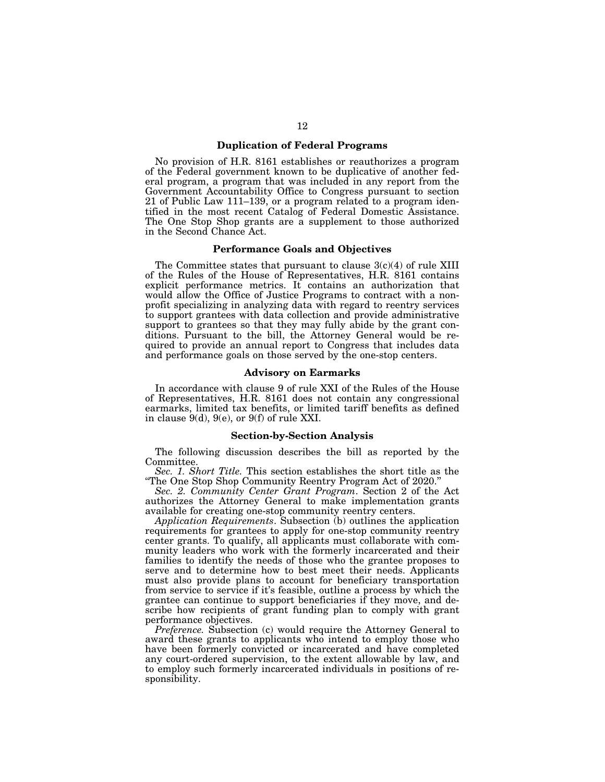### **Duplication of Federal Programs**

No provision of H.R. 8161 establishes or reauthorizes a program of the Federal government known to be duplicative of another federal program, a program that was included in any report from the Government Accountability Office to Congress pursuant to section 21 of Public Law 111–139, or a program related to a program identified in the most recent Catalog of Federal Domestic Assistance. The One Stop Shop grants are a supplement to those authorized in the Second Chance Act.

### **Performance Goals and Objectives**

The Committee states that pursuant to clause 3(c)(4) of rule XIII of the Rules of the House of Representatives, H.R. 8161 contains explicit performance metrics. It contains an authorization that would allow the Office of Justice Programs to contract with a nonprofit specializing in analyzing data with regard to reentry services to support grantees with data collection and provide administrative support to grantees so that they may fully abide by the grant conditions. Pursuant to the bill, the Attorney General would be required to provide an annual report to Congress that includes data and performance goals on those served by the one-stop centers.

#### **Advisory on Earmarks**

In accordance with clause 9 of rule XXI of the Rules of the House of Representatives, H.R. 8161 does not contain any congressional earmarks, limited tax benefits, or limited tariff benefits as defined in clause 9(d), 9(e), or 9(f) of rule XXI.

### **Section-by-Section Analysis**

The following discussion describes the bill as reported by the Committee.

*Sec. 1. Short Title.* This section establishes the short title as the ''The One Stop Shop Community Reentry Program Act of 2020.''

*Sec. 2. Community Center Grant Program*. Section 2 of the Act authorizes the Attorney General to make implementation grants available for creating one-stop community reentry centers.

*Application Requirements*. Subsection (b) outlines the application requirements for grantees to apply for one-stop community reentry center grants. To qualify, all applicants must collaborate with community leaders who work with the formerly incarcerated and their families to identify the needs of those who the grantee proposes to serve and to determine how to best meet their needs. Applicants must also provide plans to account for beneficiary transportation from service to service if it's feasible, outline a process by which the grantee can continue to support beneficiaries if they move, and describe how recipients of grant funding plan to comply with grant performance objectives.

*Preference.* Subsection (c) would require the Attorney General to award these grants to applicants who intend to employ those who have been formerly convicted or incarcerated and have completed any court-ordered supervision, to the extent allowable by law, and to employ such formerly incarcerated individuals in positions of responsibility.